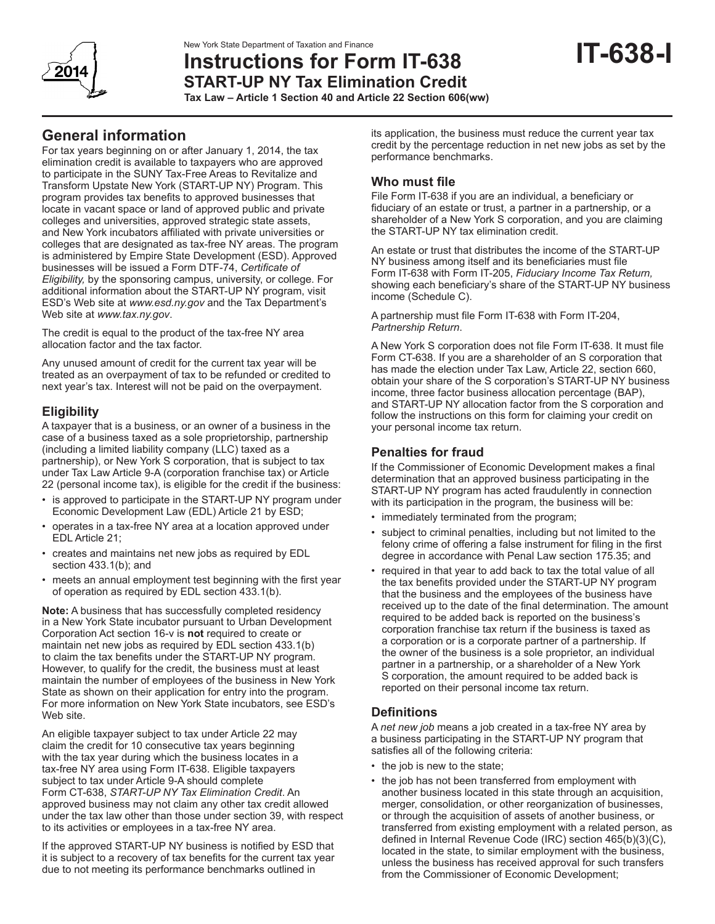

# **Instructions for Form IT-638 START-UP NY Tax Elimination Credit**

**Tax Law – Article 1 Section 40 and Article 22 Section 606(ww)**

# **General information**

For tax years beginning on or after January 1, 2014, the tax elimination credit is available to taxpayers who are approved to participate in the SUNY Tax-Free Areas to Revitalize and Transform Upstate New York (START-UP NY) Program. This program provides tax benefits to approved businesses that locate in vacant space or land of approved public and private colleges and universities, approved strategic state assets, and New York incubators affiliated with private universities or colleges that are designated as tax-free NY areas. The program is administered by Empire State Development (ESD). Approved businesses will be issued a Form DTF-74, *Certificate of Eligibility,* by the sponsoring campus, university, or college. For additional information about the START-UP NY program, visit ESD's Web site at *www.esd.ny.gov* and the Tax Department's Web site at *www.tax.ny.gov*.

The credit is equal to the product of the tax-free NY area allocation factor and the tax factor.

Any unused amount of credit for the current tax year will be treated as an overpayment of tax to be refunded or credited to next year's tax. Interest will not be paid on the overpayment.

# **Eligibility**

A taxpayer that is a business, or an owner of a business in the case of a business taxed as a sole proprietorship, partnership (including a limited liability company (LLC) taxed as a partnership), or New York S corporation, that is subject to tax under Tax Law Article 9-A (corporation franchise tax) or Article 22 (personal income tax), is eligible for the credit if the business:

- is approved to participate in the START-UP NY program under Economic Development Law (EDL) Article 21 by ESD;
- operates in a tax-free NY area at a location approved under EDL Article 21;
- creates and maintains net new jobs as required by EDL section 433.1(b); and
- meets an annual employment test beginning with the first year of operation as required by EDL section 433.1(b).

**Note:** A business that has successfully completed residency in a New York State incubator pursuant to Urban Development Corporation Act section 16-v is **not** required to create or maintain net new jobs as required by EDL section 433.1(b) to claim the tax benefits under the START-UP NY program. However, to qualify for the credit, the business must at least maintain the number of employees of the business in New York State as shown on their application for entry into the program. For more information on New York State incubators, see ESD's Web site.

An eligible taxpayer subject to tax under Article 22 may claim the credit for 10 consecutive tax years beginning with the tax year during which the business locates in a tax-free NY area using Form IT-638. Eligible taxpayers subject to tax under Article 9-A should complete Form CT-638, *START-UP NY Tax Elimination Credit*. An approved business may not claim any other tax credit allowed under the tax law other than those under section 39, with respect to its activities or employees in a tax-free NY area.

If the approved START-UP NY business is notified by ESD that it is subject to a recovery of tax benefits for the current tax year due to not meeting its performance benchmarks outlined in

its application, the business must reduce the current year tax credit by the percentage reduction in net new jobs as set by the performance benchmarks.

# **Who must file**

File Form IT-638 if you are an individual, a beneficiary or fiduciary of an estate or trust, a partner in a partnership, or a shareholder of a New York S corporation, and you are claiming the START-UP NY tax elimination credit.

An estate or trust that distributes the income of the START-UP NY business among itself and its beneficiaries must file Form IT-638 with Form IT-205, *Fiduciary Income Tax Return,* showing each beneficiary's share of the START-UP NY business income (Schedule C).

A partnership must file Form IT-638 with Form IT-204, *Partnership Return*.

A New York S corporation does not file Form IT-638. It must file Form CT-638. If you are a shareholder of an S corporation that has made the election under Tax Law, Article 22, section 660, obtain your share of the S corporation's START-UP NY business income, three factor business allocation percentage (BAP), and START-UP NY allocation factor from the S corporation and follow the instructions on this form for claiming your credit on your personal income tax return.

## **Penalties for fraud**

If the Commissioner of Economic Development makes a final determination that an approved business participating in the START-UP NY program has acted fraudulently in connection with its participation in the program, the business will be:

- immediately terminated from the program;
- subject to criminal penalties, including but not limited to the felony crime of offering a false instrument for filing in the first degree in accordance with Penal Law section 175.35; and
- required in that year to add back to tax the total value of all the tax benefits provided under the START-UP NY program that the business and the employees of the business have received up to the date of the final determination. The amount required to be added back is reported on the business's corporation franchise tax return if the business is taxed as a corporation or is a corporate partner of a partnership. If the owner of the business is a sole proprietor, an individual partner in a partnership, or a shareholder of a New York S corporation, the amount required to be added back is reported on their personal income tax return.

### **Definitions**

A *net new job* means a job created in a tax-free NY area by a business participating in the START-UP NY program that satisfies all of the following criteria:

- the job is new to the state;
- the job has not been transferred from employment with another business located in this state through an acquisition, merger, consolidation, or other reorganization of businesses, or through the acquisition of assets of another business, or transferred from existing employment with a related person, as defined in Internal Revenue Code (IRC) section 465(b)(3)(C), located in the state, to similar employment with the business, unless the business has received approval for such transfers from the Commissioner of Economic Development;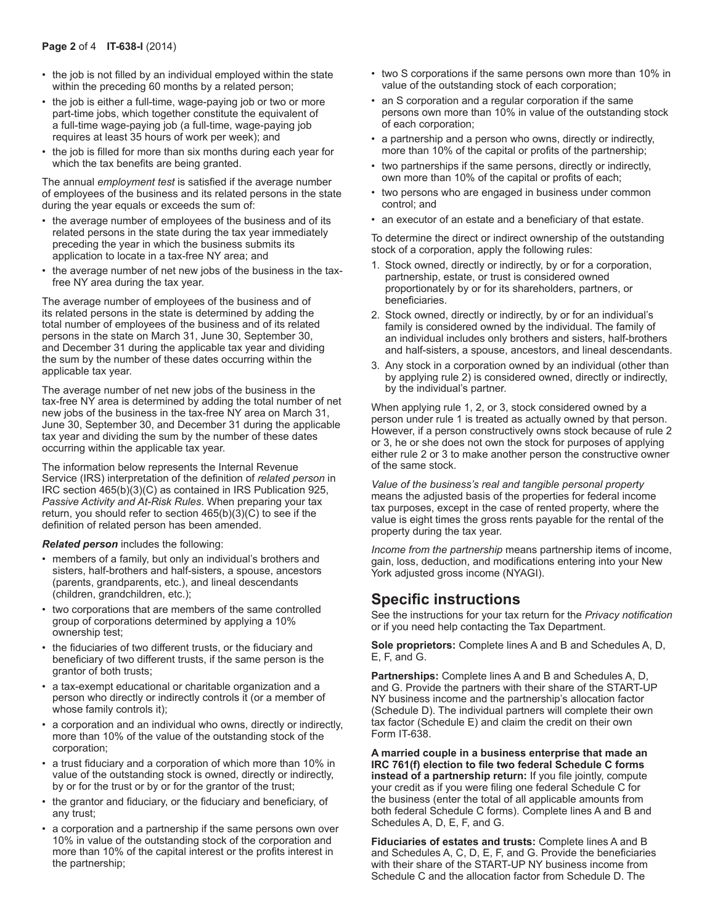- the job is not filled by an individual employed within the state within the preceding 60 months by a related person;
- the job is either a full-time, wage-paying job or two or more part-time jobs, which together constitute the equivalent of a full-time wage-paying job (a full-time, wage-paying job requires at least 35 hours of work per week); and
- the job is filled for more than six months during each year for which the tax benefits are being granted.

The annual *employment test* is satisfied if the average number of employees of the business and its related persons in the state during the year equals or exceeds the sum of:

- the average number of employees of the business and of its related persons in the state during the tax year immediately preceding the year in which the business submits its application to locate in a tax-free NY area; and
- the average number of net new jobs of the business in the taxfree NY area during the tax year.

The average number of employees of the business and of its related persons in the state is determined by adding the total number of employees of the business and of its related persons in the state on March 31, June 30, September 30, and December 31 during the applicable tax year and dividing the sum by the number of these dates occurring within the applicable tax year.

The average number of net new jobs of the business in the tax-free NY area is determined by adding the total number of net new jobs of the business in the tax-free NY area on March 31, June 30, September 30, and December 31 during the applicable tax year and dividing the sum by the number of these dates occurring within the applicable tax year.

The information below represents the Internal Revenue Service (IRS) interpretation of the definition of *related person* in IRC section 465(b)(3)(C) as contained in IRS Publication 925, *Passive Activity and At-Risk Rules*. When preparing your tax return, you should refer to section 465(b)(3)(C) to see if the definition of related person has been amended.

*Related person* includes the following:

- members of a family, but only an individual's brothers and sisters, half-brothers and half-sisters, a spouse, ancestors (parents, grandparents, etc.), and lineal descendants (children, grandchildren, etc.);
- two corporations that are members of the same controlled group of corporations determined by applying a 10% ownership test;
- the fiduciaries of two different trusts, or the fiduciary and beneficiary of two different trusts, if the same person is the grantor of both trusts;
- a tax-exempt educational or charitable organization and a person who directly or indirectly controls it (or a member of whose family controls it);
- a corporation and an individual who owns, directly or indirectly, more than 10% of the value of the outstanding stock of the corporation;
- a trust fiduciary and a corporation of which more than 10% in value of the outstanding stock is owned, directly or indirectly, by or for the trust or by or for the grantor of the trust;
- the grantor and fiduciary, or the fiduciary and beneficiary, of any trust;
- a corporation and a partnership if the same persons own over 10% in value of the outstanding stock of the corporation and more than 10% of the capital interest or the profits interest in the partnership;
- two S corporations if the same persons own more than 10% in value of the outstanding stock of each corporation;
- an S corporation and a regular corporation if the same persons own more than 10% in value of the outstanding stock of each corporation;
- a partnership and a person who owns, directly or indirectly, more than 10% of the capital or profits of the partnership;
- two partnerships if the same persons, directly or indirectly, own more than 10% of the capital or profits of each;
- two persons who are engaged in business under common control; and
- an executor of an estate and a beneficiary of that estate.

To determine the direct or indirect ownership of the outstanding stock of a corporation, apply the following rules:

- 1. Stock owned, directly or indirectly, by or for a corporation, partnership, estate, or trust is considered owned proportionately by or for its shareholders, partners, or beneficiaries.
- 2. Stock owned, directly or indirectly, by or for an individual's family is considered owned by the individual. The family of an individual includes only brothers and sisters, half-brothers and half-sisters, a spouse, ancestors, and lineal descendants.
- 3. Any stock in a corporation owned by an individual (other than by applying rule 2) is considered owned, directly or indirectly, by the individual's partner.

When applying rule 1, 2, or 3, stock considered owned by a person under rule 1 is treated as actually owned by that person. However, if a person constructively owns stock because of rule 2 or 3, he or she does not own the stock for purposes of applying either rule 2 or 3 to make another person the constructive owner of the same stock.

*Value of the business's real and tangible personal property* means the adjusted basis of the properties for federal income tax purposes, except in the case of rented property, where the value is eight times the gross rents payable for the rental of the property during the tax year.

*Income from the partnership* means partnership items of income, gain, loss, deduction, and modifications entering into your New York adjusted gross income (NYAGI).

# **Specific instructions**

See the instructions for your tax return for the *Privacy notification* or if you need help contacting the Tax Department.

**Sole proprietors:** Complete lines A and B and Schedules A, D, E, F, and G.

**Partnerships:** Complete lines A and B and Schedules A, D, and G. Provide the partners with their share of the START-UP NY business income and the partnership's allocation factor (Schedule D). The individual partners will complete their own tax factor (Schedule E) and claim the credit on their own Form IT-638.

**A married couple in a business enterprise that made an IRC 761(f) election to file two federal Schedule C forms instead of a partnership return:** If you file jointly, compute your credit as if you were filing one federal Schedule C for the business (enter the total of all applicable amounts from both federal Schedule C forms). Complete lines A and B and Schedules A, D, E, F, and G.

**Fiduciaries of estates and trusts:** Complete lines A and B and Schedules A, C, D, E, F, and G. Provide the beneficiaries with their share of the START-UP NY business income from Schedule C and the allocation factor from Schedule D. The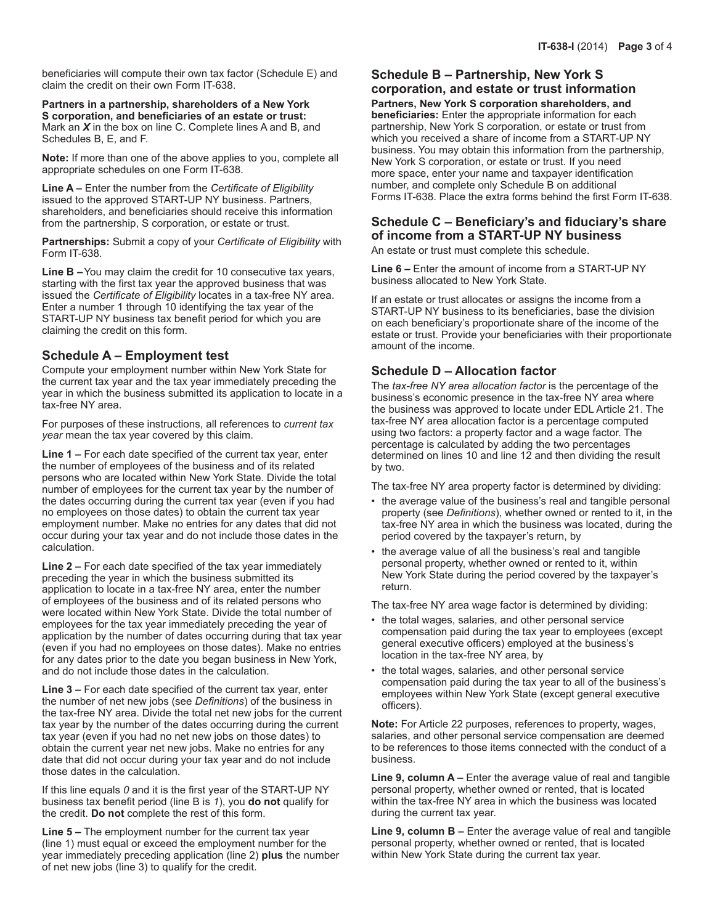beneficiaries will compute their own tax factor (Schedule E) and claim the credit on their own Form IT-638.

**Partners in a partnership, shareholders of a New York S corporation, and beneficiaries of an estate or trust:**  Mark an *X* in the box on line C. Complete lines A and B, and Schedules B, E, and F.

**Note:** If more than one of the above applies to you, complete all appropriate schedules on one Form IT-638.

**Line A –** Enter the number from the *Certificate of Eligibility* issued to the approved START-UP NY business. Partners, shareholders, and beneficiaries should receive this information from the partnership, S corporation, or estate or trust.

**Partnerships:** Submit a copy of your *Certificate of Eligibility* with Form IT-638.

**Line B –**You may claim the credit for 10 consecutive tax years, starting with the first tax year the approved business that was issued the *Certificate of Eligibility* locates in a tax-free NY area. Enter a number 1 through 10 identifying the tax year of the START-UP NY business tax benefit period for which you are claiming the credit on this form.

#### **Schedule A – Employment test**

Compute your employment number within New York State for the current tax year and the tax year immediately preceding the year in which the business submitted its application to locate in a tax-free NY area.

For purposes of these instructions, all references to *current tax year* mean the tax year covered by this claim.

**Line 1 –** For each date specified of the current tax year, enter the number of employees of the business and of its related persons who are located within New York State. Divide the total number of employees for the current tax year by the number of the dates occurring during the current tax year (even if you had no employees on those dates) to obtain the current tax year employment number. Make no entries for any dates that did not occur during your tax year and do not include those dates in the calculation.

**Line 2 –** For each date specified of the tax year immediately preceding the year in which the business submitted its application to locate in a tax-free NY area, enter the number of employees of the business and of its related persons who were located within New York State. Divide the total number of employees for the tax year immediately preceding the year of application by the number of dates occurring during that tax year (even if you had no employees on those dates). Make no entries for any dates prior to the date you began business in New York, and do not include those dates in the calculation.

**Line 3 –** For each date specified of the current tax year, enter the number of net new jobs (see *Definitions*) of the business in the tax-free NY area. Divide the total net new jobs for the current tax year by the number of the dates occurring during the current tax year (even if you had no net new jobs on those dates) to obtain the current year net new jobs. Make no entries for any date that did not occur during your tax year and do not include those dates in the calculation.

If this line equals *0* and it is the first year of the START-UP NY business tax benefit period (line B is *1*), you **do not** qualify for the credit. **Do not** complete the rest of this form.

**Line 5 –** The employment number for the current tax year (line 1) must equal or exceed the employment number for the year immediately preceding application (line 2) **plus** the number of net new jobs (line 3) to qualify for the credit.

#### **Schedule B – Partnership, New York S corporation, and estate or trust information**

**Partners, New York S corporation shareholders, and beneficiaries:** Enter the appropriate information for each partnership, New York S corporation, or estate or trust from which you received a share of income from a START-UP NY business. You may obtain this information from the partnership, New York S corporation, or estate or trust. If you need more space, enter your name and taxpayer identification number, and complete only Schedule B on additional Forms IT-638. Place the extra forms behind the first Form IT-638.

# **Schedule C – Beneficiary's and fiduciary's share of income from a START-UP NY business**

An estate or trust must complete this schedule.

**Line 6 –** Enter the amount of income from a START-UP NY business allocated to New York State.

If an estate or trust allocates or assigns the income from a START-UP NY business to its beneficiaries, base the division on each beneficiary's proportionate share of the income of the estate or trust. Provide your beneficiaries with their proportionate amount of the income.

#### **Schedule D – Allocation factor**

The *tax-free NY area allocation factor* is the percentage of the business's economic presence in the tax-free NY area where the business was approved to locate under EDL Article 21. The tax-free NY area allocation factor is a percentage computed using two factors: a property factor and a wage factor. The percentage is calculated by adding the two percentages determined on lines 10 and line 12 and then dividing the result by two.

The tax-free NY area property factor is determined by dividing:

- the average value of the business's real and tangible personal property (see *Definitions*), whether owned or rented to it, in the tax-free NY area in which the business was located, during the period covered by the taxpayer's return, by
- the average value of all the business's real and tangible personal property, whether owned or rented to it, within New York State during the period covered by the taxpayer's return.

The tax-free NY area wage factor is determined by dividing:

- the total wages, salaries, and other personal service compensation paid during the tax year to employees (except general executive officers) employed at the business's location in the tax-free NY area, by
- the total wages, salaries, and other personal service compensation paid during the tax year to all of the business's employees within New York State (except general executive officers).

**Note:** For Article 22 purposes, references to property, wages, salaries, and other personal service compensation are deemed to be references to those items connected with the conduct of a business.

**Line 9, column A –** Enter the average value of real and tangible personal property, whether owned or rented, that is located within the tax-free NY area in which the business was located during the current tax year.

**Line 9, column B –** Enter the average value of real and tangible personal property, whether owned or rented, that is located within New York State during the current tax year.